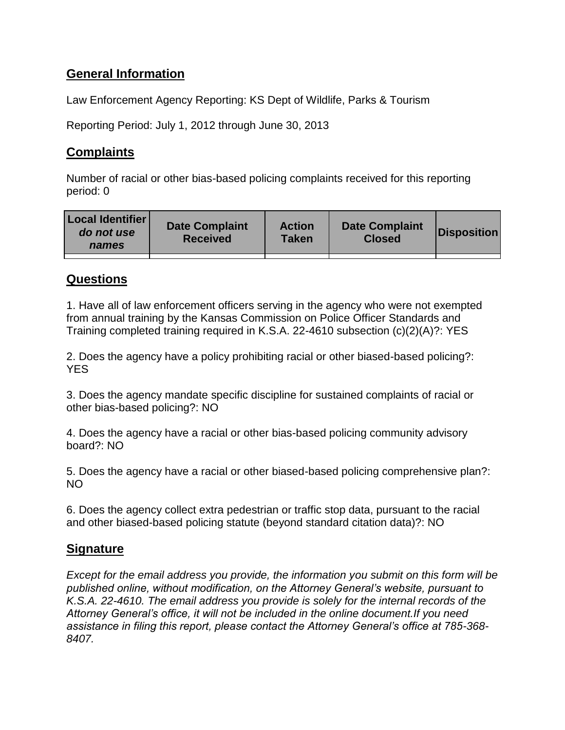# **General Information**

Law Enforcement Agency Reporting: KS Dept of Wildlife, Parks & Tourism

Reporting Period: July 1, 2012 through June 30, 2013

# **Complaints**

Number of racial or other bias-based policing complaints received for this reporting period: 0

| <b>Local Identifier</b><br>do not use<br>names | <b>Date Complaint</b><br><b>Received</b> | <b>Action</b><br>Taken | <b>Date Complaint</b><br><b>Closed</b> | Disposition |
|------------------------------------------------|------------------------------------------|------------------------|----------------------------------------|-------------|
|                                                |                                          |                        |                                        |             |

### **Questions**

1. Have all of law enforcement officers serving in the agency who were not exempted from annual training by the Kansas Commission on Police Officer Standards and Training completed training required in K.S.A. 22-4610 subsection (c)(2)(A)?: YES

2. Does the agency have a policy prohibiting racial or other biased-based policing?: **YES** 

3. Does the agency mandate specific discipline for sustained complaints of racial or other bias-based policing?: NO

4. Does the agency have a racial or other bias-based policing community advisory board?: NO

5. Does the agency have a racial or other biased-based policing comprehensive plan?: NO

6. Does the agency collect extra pedestrian or traffic stop data, pursuant to the racial and other biased-based policing statute (beyond standard citation data)?: NO

# **Signature**

*Except for the email address you provide, the information you submit on this form will be published online, without modification, on the Attorney General's website, pursuant to K.S.A. 22-4610. The email address you provide is solely for the internal records of the Attorney General's office, it will not be included in the online document.If you need assistance in filing this report, please contact the Attorney General's office at 785-368- 8407.*